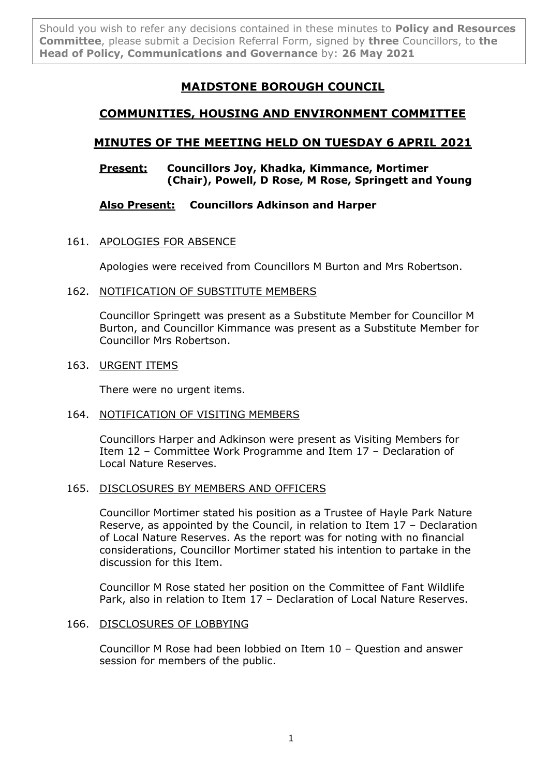Should you wish to refer any decisions contained in these minutes to **Policy and Resources Committee**, please submit a Decision Referral Form, signed by **three** Councillors, to **the Head of Policy, Communications and Governance** by: **26 May 2021**

# **MAIDSTONE BOROUGH COUNCIL**

# **COMMUNITIES, HOUSING AND ENVIRONMENT COMMITTEE**

# **MINUTES OF THE MEETING HELD ON TUESDAY 6 APRIL 2021**

## **Present: Councillors Joy, Khadka, Kimmance, Mortimer (Chair), Powell, D Rose, M Rose, Springett and Young**

# **Also Present: Councillors Adkinson and Harper**

## 161. APOLOGIES FOR ABSENCE

Apologies were received from Councillors M Burton and Mrs Robertson.

## 162. NOTIFICATION OF SUBSTITUTE MEMBERS

Councillor Springett was present as a Substitute Member for Councillor M Burton, and Councillor Kimmance was present as a Substitute Member for Councillor Mrs Robertson.

## 163. URGENT ITEMS

There were no urgent items.

## 164. NOTIFICATION OF VISITING MEMBERS

Councillors Harper and Adkinson were present as Visiting Members for Item 12 – Committee Work Programme and Item 17 – Declaration of Local Nature Reserves.

## 165. DISCLOSURES BY MEMBERS AND OFFICERS

Councillor Mortimer stated his position as a Trustee of Hayle Park Nature Reserve, as appointed by the Council, in relation to Item 17 – Declaration of Local Nature Reserves. As the report was for noting with no financial considerations, Councillor Mortimer stated his intention to partake in the discussion for this Item.

Councillor M Rose stated her position on the Committee of Fant Wildlife Park, also in relation to Item 17 – Declaration of Local Nature Reserves.

## 166. DISCLOSURES OF LOBBYING

Councillor M Rose had been lobbied on Item 10 – Question and answer session for members of the public.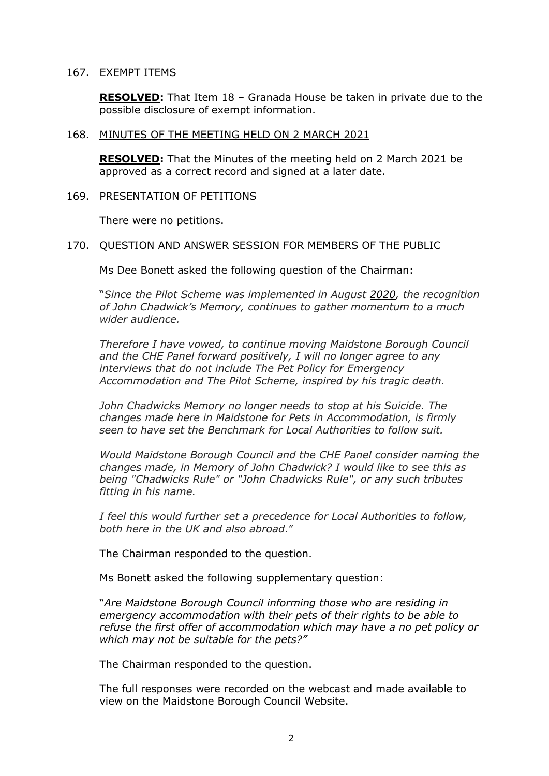#### 167. EXEMPT ITEMS

**RESOLVED:** That Item 18 – Granada House be taken in private due to the possible disclosure of exempt information.

#### 168. MINUTES OF THE MEETING HELD ON 2 MARCH 2021

**RESOLVED:** That the Minutes of the meeting held on 2 March 2021 be approved as a correct record and signed at a later date.

#### 169. PRESENTATION OF PETITIONS

There were no petitions.

#### 170. QUESTION AND ANSWER SESSION FOR MEMBERS OF THE PUBLIC

Ms Dee Bonett asked the following question of the Chairman:

"*Since the Pilot Scheme was implemented in August [2020,](tel:+442020) the recognition of John Chadwick's Memory, continues to gather momentum to a much wider audience.*

*Therefore I have vowed, to continue moving Maidstone Borough Council and the CHE Panel forward positively, I will no longer agree to any interviews that do not include The Pet Policy for Emergency Accommodation and The Pilot Scheme, inspired by his tragic death.*

*John Chadwicks Memory no longer needs to stop at his Suicide. The changes made here in Maidstone for Pets in Accommodation, is firmly seen to have set the Benchmark for Local Authorities to follow suit.*

*Would Maidstone Borough Council and the CHE Panel consider naming the changes made, in Memory of John Chadwick? I would like to see this as being "Chadwicks Rule" or "John Chadwicks Rule", or any such tributes fitting in his name.*

*I feel this would further set a precedence for Local Authorities to follow, both here in the UK and also abroad*."

The Chairman responded to the question.

Ms Bonett asked the following supplementary question:

"*Are Maidstone Borough Council informing those who are residing in emergency accommodation with their pets of their rights to be able to refuse the first offer of accommodation which may have a no pet policy or which may not be suitable for the pets?"*

The Chairman responded to the question.

The full responses were recorded on the webcast and made available to view on the Maidstone Borough Council Website.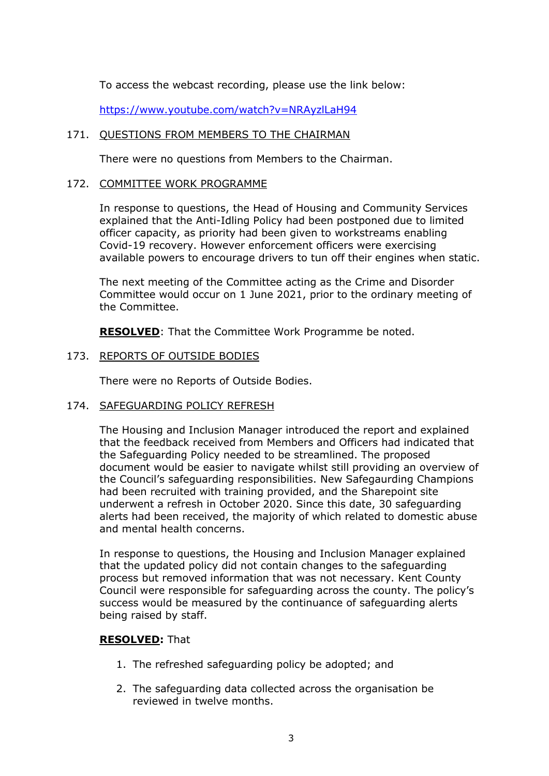To access the webcast recording, please use the link below:

<https://www.youtube.com/watch?v=NRAyzlLaH94>

## 171. OUESTIONS FROM MEMBERS TO THE CHAIRMAN

There were no questions from Members to the Chairman.

## 172. COMMITTEE WORK PROGRAMME

In response to questions, the Head of Housing and Community Services explained that the Anti-Idling Policy had been postponed due to limited officer capacity, as priority had been given to workstreams enabling Covid-19 recovery. However enforcement officers were exercising available powers to encourage drivers to tun off their engines when static.

The next meeting of the Committee acting as the Crime and Disorder Committee would occur on 1 June 2021, prior to the ordinary meeting of the Committee.

**RESOLVED**: That the Committee Work Programme be noted.

## 173. REPORTS OF OUTSIDE BODIES

There were no Reports of Outside Bodies.

## 174. SAFEGUARDING POLICY REFRESH

The Housing and Inclusion Manager introduced the report and explained that the feedback received from Members and Officers had indicated that the Safeguarding Policy needed to be streamlined. The proposed document would be easier to navigate whilst still providing an overview of the Council's safeguarding responsibilities. New Safegaurding Champions had been recruited with training provided, and the Sharepoint site underwent a refresh in October 2020. Since this date, 30 safeguarding alerts had been received, the majority of which related to domestic abuse and mental health concerns.

In response to questions, the Housing and Inclusion Manager explained that the updated policy did not contain changes to the safeguarding process but removed information that was not necessary. Kent County Council were responsible for safeguarding across the county. The policy's success would be measured by the continuance of safeguarding alerts being raised by staff.

## **RESOLVED:** That

- 1. The refreshed safeguarding policy be adopted; and
- 2. The safeguarding data collected across the organisation be reviewed in twelve months.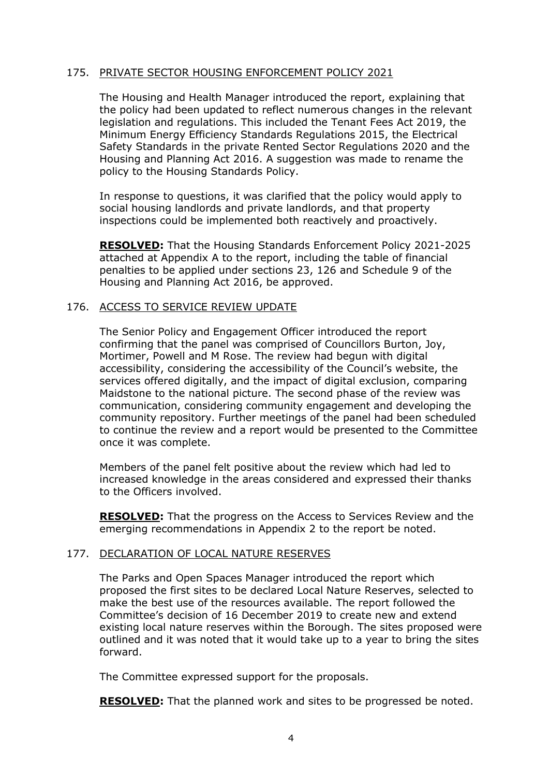## 175. PRIVATE SECTOR HOUSING ENFORCEMENT POLICY 2021

The Housing and Health Manager introduced the report, explaining that the policy had been updated to reflect numerous changes in the relevant legislation and regulations. This included the Tenant Fees Act 2019, the Minimum Energy Efficiency Standards Regulations 2015, the Electrical Safety Standards in the private Rented Sector Regulations 2020 and the Housing and Planning Act 2016. A suggestion was made to rename the policy to the Housing Standards Policy.

In response to questions, it was clarified that the policy would apply to social housing landlords and private landlords, and that property inspections could be implemented both reactively and proactively.

**RESOLVED:** That the Housing Standards Enforcement Policy 2021-2025 attached at Appendix A to the report, including the table of financial penalties to be applied under sections 23, 126 and Schedule 9 of the Housing and Planning Act 2016, be approved.

## 176. ACCESS TO SERVICE REVIEW UPDATE

The Senior Policy and Engagement Officer introduced the report confirming that the panel was comprised of Councillors Burton, Joy, Mortimer, Powell and M Rose. The review had begun with digital accessibility, considering the accessibility of the Council's website, the services offered digitally, and the impact of digital exclusion, comparing Maidstone to the national picture. The second phase of the review was communication, considering community engagement and developing the community repository. Further meetings of the panel had been scheduled to continue the review and a report would be presented to the Committee once it was complete.

Members of the panel felt positive about the review which had led to increased knowledge in the areas considered and expressed their thanks to the Officers involved.

**RESOLVED:** That the progress on the Access to Services Review and the emerging recommendations in Appendix 2 to the report be noted.

## 177. DECLARATION OF LOCAL NATURE RESERVES

The Parks and Open Spaces Manager introduced the report which proposed the first sites to be declared Local Nature Reserves, selected to make the best use of the resources available. The report followed the Committee's decision of 16 December 2019 to create new and extend existing local nature reserves within the Borough. The sites proposed were outlined and it was noted that it would take up to a year to bring the sites forward.

The Committee expressed support for the proposals.

**RESOLVED:** That the planned work and sites to be progressed be noted.